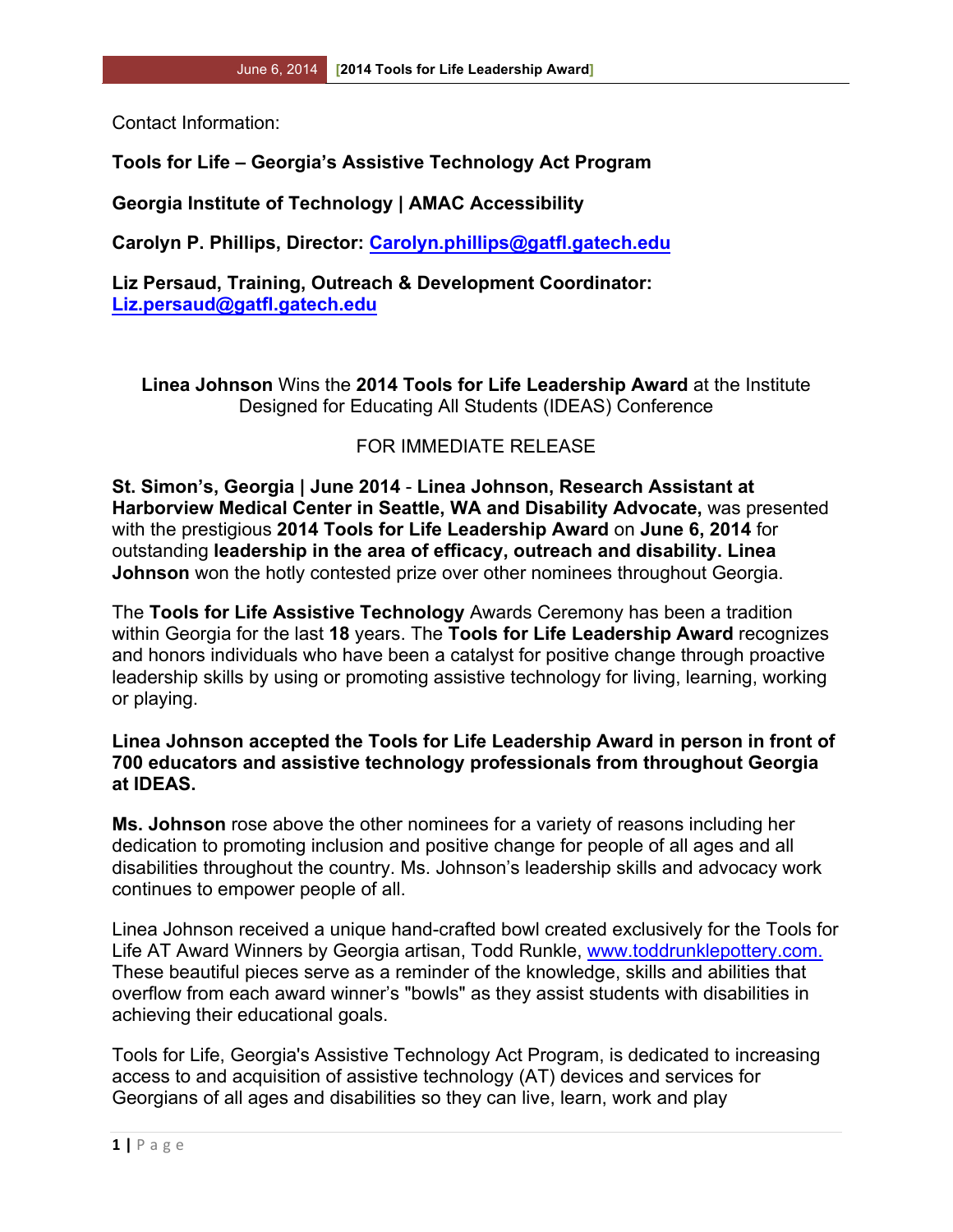Contact Information:

## **Tools for Life – Georgia's Assistive Technology Act Program**

**Georgia Institute of Technology | AMAC Accessibility**

**Carolyn P. Phillips, Director: Carolyn.phillips@gatfl.gatech.edu**

**Liz Persaud, Training, Outreach & Development Coordinator: Liz.persaud@gatfl.gatech.edu**

**Linea Johnson** Wins the **2014 Tools for Life Leadership Award** at the Institute Designed for Educating All Students (IDEAS) Conference

## FOR IMMEDIATE RELEASE

**St. Simon's, Georgia | June 2014** - **Linea Johnson, Research Assistant at Harborview Medical Center in Seattle, WA and Disability Advocate,** was presented with the prestigious **2014 Tools for Life Leadership Award** on **June 6, 2014** for outstanding **leadership in the area of efficacy, outreach and disability. Linea Johnson** won the hotly contested prize over other nominees throughout Georgia.

The **Tools for Life Assistive Technology** Awards Ceremony has been a tradition within Georgia for the last **18** years. The **Tools for Life Leadership Award** recognizes and honors individuals who have been a catalyst for positive change through proactive leadership skills by using or promoting assistive technology for living, learning, working or playing.

## **Linea Johnson accepted the Tools for Life Leadership Award in person in front of 700 educators and assistive technology professionals from throughout Georgia at IDEAS.**

**Ms. Johnson** rose above the other nominees for a variety of reasons including her dedication to promoting inclusion and positive change for people of all ages and all disabilities throughout the country. Ms. Johnson's leadership skills and advocacy work continues to empower people of all.

Linea Johnson received a unique hand-crafted bowl created exclusively for the Tools for Life AT Award Winners by Georgia artisan, Todd Runkle, www.toddrunklepottery.com. These beautiful pieces serve as a reminder of the knowledge, skills and abilities that overflow from each award winner's "bowls" as they assist students with disabilities in achieving their educational goals.

Tools for Life, Georgia's Assistive Technology Act Program, is dedicated to increasing access to and acquisition of assistive technology (AT) devices and services for Georgians of all ages and disabilities so they can live, learn, work and play